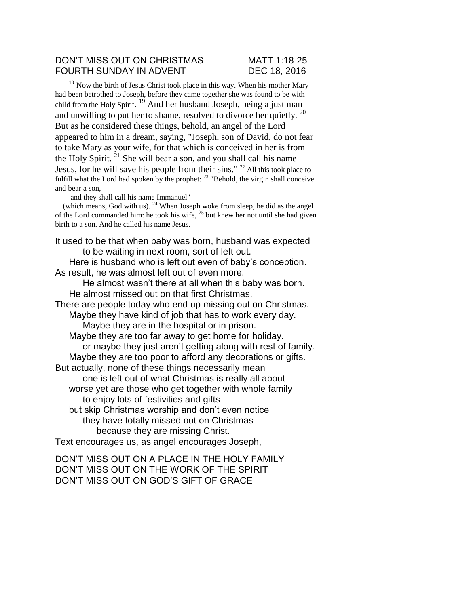## DON'T MISS OUT ON CHRISTMAS MATT 1:18-25 FOURTH SUNDAY IN ADVENT DEC 18, 2016

 $18$  Now the birth of Jesus Christ took place in this way. When his mother Mary had been betrothed to Joseph, before they came together she was found to be with child from the Holy Spirit.<sup>19</sup> And her husband Joseph, being a just man and unwilling to put her to shame, resolved to divorce her quietly.  $20$ But as he considered these things, behold, an angel of the Lord appeared to him in a dream, saying, "Joseph, son of David, do not fear to take Mary as your wife, for that which is conceived in her is from the Holy Spirit.  $^{21}$  She will bear a son, and you shall call his name Jesus, for he will save his people from their sins." <sup>22</sup> All this took place to fulfill what the Lord had spoken by the prophet: <sup>23</sup> "Behold, the virgin shall conceive and bear a son,

and they shall call his name Immanuel"

(which means, God with us).  $24$  When Joseph woke from sleep, he did as the angel of the Lord commanded him: he took his wife,  $^{25}$  but knew her not until she had given birth to a son. And he called his name Jesus.

It used to be that when baby was born, husband was expected to be waiting in next room, sort of left out. Here is husband who is left out even of baby's conception. As result, he was almost left out of even more.

He almost wasn't there at all when this baby was born. He almost missed out on that first Christmas. There are people today who end up missing out on Christmas. Maybe they have kind of job that has to work every day. Maybe they are in the hospital or in prison. Maybe they are too far away to get home for holiday. or maybe they just aren't getting along with rest of family. Maybe they are too poor to afford any decorations or gifts. But actually, none of these things necessarily mean one is left out of what Christmas is really all about worse yet are those who get together with whole family to enjoy lots of festivities and gifts but skip Christmas worship and don't even notice they have totally missed out on Christmas because they are missing Christ. Text encourages us, as angel encourages Joseph,

DON'T MISS OUT ON A PLACE IN THE HOLY FAMILY DON'T MISS OUT ON THE WORK OF THE SPIRIT DON'T MISS OUT ON GOD'S GIFT OF GRACE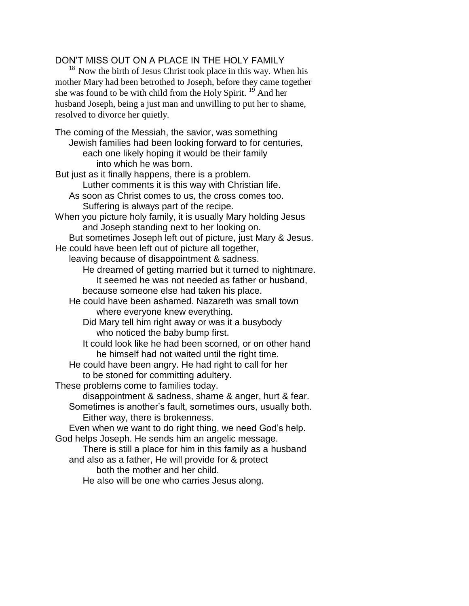## DON'T MISS OUT ON A PLACE IN THE HOLY FAMILY

 $18$  Now the birth of Jesus Christ took place in this way. When his mother Mary had been betrothed to Joseph, before they came together she was found to be with child from the Holy Spirit. <sup>19</sup> And her husband Joseph, being a just man and unwilling to put her to shame, resolved to divorce her quietly.

The coming of the Messiah, the savior, was something Jewish families had been looking forward to for centuries, each one likely hoping it would be their family into which he was born. But just as it finally happens, there is a problem. Luther comments it is this way with Christian life. As soon as Christ comes to us, the cross comes too. Suffering is always part of the recipe. When you picture holy family, it is usually Mary holding Jesus and Joseph standing next to her looking on. But sometimes Joseph left out of picture, just Mary & Jesus. He could have been left out of picture all together, leaving because of disappointment & sadness. He dreamed of getting married but it turned to nightmare. It seemed he was not needed as father or husband, because someone else had taken his place. He could have been ashamed. Nazareth was small town where everyone knew everything. Did Mary tell him right away or was it a busybody who noticed the baby bump first. It could look like he had been scorned, or on other hand he himself had not waited until the right time. He could have been angry. He had right to call for her to be stoned for committing adultery. These problems come to families today. disappointment & sadness, shame & anger, hurt & fear. Sometimes is another's fault, sometimes ours, usually both. Either way, there is brokenness. Even when we want to do right thing, we need God's help. God helps Joseph. He sends him an angelic message. There is still a place for him in this family as a husband and also as a father, He will provide for & protect both the mother and her child.

He also will be one who carries Jesus along.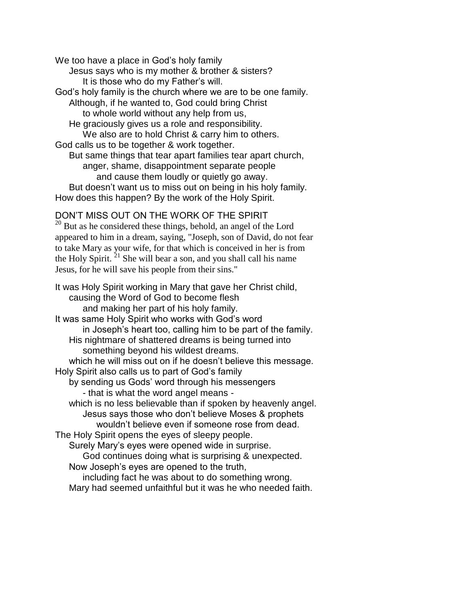We too have a place in God's holy family Jesus says who is my mother & brother & sisters? It is those who do my Father's will. God's holy family is the church where we are to be one family. Although, if he wanted to, God could bring Christ to whole world without any help from us, He graciously gives us a role and responsibility. We also are to hold Christ & carry him to others. God calls us to be together & work together. But same things that tear apart families tear apart church, anger, shame, disappointment separate people and cause them loudly or quietly go away. But doesn't want us to miss out on being in his holy family. How does this happen? By the work of the Holy Spirit.

DON'T MISS OUT ON THE WORK OF THE SPIRIT <sup>20</sup> But as he considered these things, behold, an angel of the Lord appeared to him in a dream, saying, "Joseph, son of David, do not fear to take Mary as your wife, for that which is conceived in her is from the Holy Spirit.  $^{21}$  She will bear a son, and you shall call his name Jesus, for he will save his people from their sins."

It was Holy Spirit working in Mary that gave her Christ child, causing the Word of God to become flesh and making her part of his holy family. It was same Holy Spirit who works with God's word in Joseph's heart too, calling him to be part of the family. His nightmare of shattered dreams is being turned into something beyond his wildest dreams. which he will miss out on if he doesn't believe this message. Holy Spirit also calls us to part of God's family by sending us Gods' word through his messengers - that is what the word angel means which is no less believable than if spoken by heavenly angel. Jesus says those who don't believe Moses & prophets wouldn't believe even if someone rose from dead. The Holy Spirit opens the eyes of sleepy people. Surely Mary's eyes were opened wide in surprise. God continues doing what is surprising & unexpected. Now Joseph's eyes are opened to the truth, including fact he was about to do something wrong. Mary had seemed unfaithful but it was he who needed faith.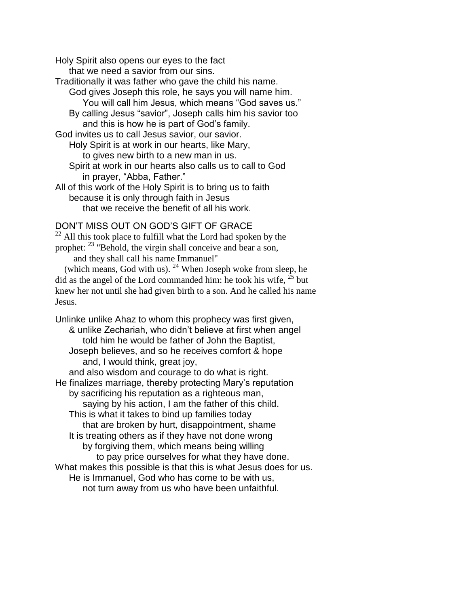Holy Spirit also opens our eyes to the fact

that we need a savior from our sins.

- Traditionally it was father who gave the child his name. God gives Joseph this role, he says you will name him.
	- You will call him Jesus, which means "God saves us."
	- By calling Jesus "savior", Joseph calls him his savior too and this is how he is part of God's family.

God invites us to call Jesus savior, our savior.

Holy Spirit is at work in our hearts, like Mary,

to gives new birth to a new man in us.

Spirit at work in our hearts also calls us to call to God in prayer, "Abba, Father."

All of this work of the Holy Spirit is to bring us to faith because it is only through faith in Jesus that we receive the benefit of all his work.

## DON'T MISS OUT ON GOD'S GIFT OF GRACE

 $22$  All this took place to fulfill what the Lord had spoken by the prophet: <sup>23</sup> "Behold, the virgin shall conceive and bear a son,

and they shall call his name Immanuel"

(which means, God with us).  $24$  When Joseph woke from sleep, he did as the angel of the Lord commanded him: he took his wife,  $^{25}$  but knew her not until she had given birth to a son. And he called his name Jesus.

Unlinke unlike Ahaz to whom this prophecy was first given, & unlike Zechariah, who didn't believe at first when angel told him he would be father of John the Baptist, Joseph believes, and so he receives comfort & hope and, I would think, great joy, and also wisdom and courage to do what is right. He finalizes marriage, thereby protecting Mary's reputation by sacrificing his reputation as a righteous man, saying by his action, I am the father of this child. This is what it takes to bind up families today that are broken by hurt, disappointment, shame It is treating others as if they have not done wrong by forgiving them, which means being willing to pay price ourselves for what they have done. What makes this possible is that this is what Jesus does for us. He is Immanuel, God who has come to be with us, not turn away from us who have been unfaithful.